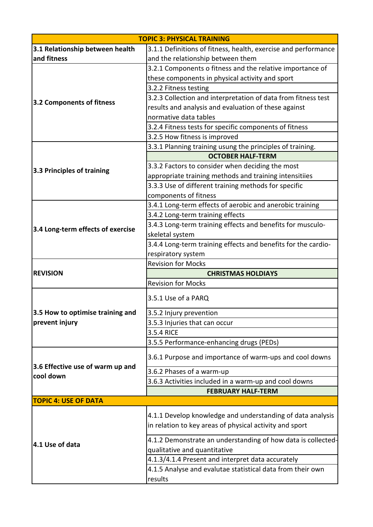| <b>TOPIC 3: PHYSICAL TRAINING</b>                  |                                                                                                                       |
|----------------------------------------------------|-----------------------------------------------------------------------------------------------------------------------|
| 3.1 Relationship between health                    | 3.1.1 Definitions of fitness, health, exercise and performance                                                        |
| and fitness                                        | and the relationship between them                                                                                     |
| 3.2 Components of fitness                          | 3.2.1 Components o fitness and the relative importance of                                                             |
|                                                    | these components in physical activity and sport                                                                       |
|                                                    | 3.2.2 Fitness testing                                                                                                 |
|                                                    | 3.2.3 Collection and interpretation of data from fitness test                                                         |
|                                                    | results and analysis and evaluation of these against                                                                  |
|                                                    | normative data tables                                                                                                 |
|                                                    | 3.2.4 Fitness tests for specific components of fitness                                                                |
|                                                    | 3.2.5 How fitness is improved                                                                                         |
| 3.3 Principles of training                         | 3.3.1 Planning training usung the principles of training.                                                             |
|                                                    | <b>OCTOBER HALF-TERM</b>                                                                                              |
|                                                    | 3.3.2 Factors to consider when deciding the most                                                                      |
|                                                    | appropriate training methods and training intensitiies                                                                |
|                                                    | 3.3.3 Use of different training methods for specific                                                                  |
|                                                    | components of fitness                                                                                                 |
|                                                    | 3.4.1 Long-term effects of aerobic and anerobic training                                                              |
|                                                    | 3.4.2 Long-term training effects                                                                                      |
| 3.4 Long-term effects of exercise                  | 3.4.3 Long-term training effects and benefits for musculo-                                                            |
|                                                    | skeletal system                                                                                                       |
|                                                    | 3.4.4 Long-term training effects and benefits for the cardio-                                                         |
|                                                    | respiratory system                                                                                                    |
| <b>REVISION</b>                                    | <b>Revision for Mocks</b>                                                                                             |
|                                                    | <b>CHRISTMAS HOLDIAYS</b>                                                                                             |
|                                                    | <b>Revision for Mocks</b>                                                                                             |
| 3.5 How to optimise training and<br>prevent injury | 3.5.1 Use of a PARQ                                                                                                   |
|                                                    | 3.5.2 Injury prevention                                                                                               |
|                                                    | 3.5.3 Injuries that can occur                                                                                         |
|                                                    | 3.5.4 RICE                                                                                                            |
|                                                    | 3.5.5 Performance-enhancing drugs (PEDs)                                                                              |
| 3.6 Effective use of warm up and<br>cool down      | 3.6.1 Purpose and importance of warm-ups and cool downs                                                               |
|                                                    | 3.6.2 Phases of a warm-up                                                                                             |
|                                                    | 3.6.3 Activities included in a warm-up and cool downs                                                                 |
|                                                    | <b>FEBRUARY HALF-TERM</b>                                                                                             |
| <b>TOPIC 4: USE OF DATA</b>                        |                                                                                                                       |
| 4.1 Use of data                                    | 4.1.1 Develop knowledge and understanding of data analysis<br>in relation to key areas of physical activity and sport |
|                                                    | 4.1.2 Demonstrate an understanding of how data is collected-<br>qualitative and quantitative                          |
|                                                    | 4.1.3/4.1.4 Present and interpret data accurately                                                                     |
|                                                    | 4.1.5 Analyse and evalutae statistical data from their own                                                            |
|                                                    | results                                                                                                               |
|                                                    |                                                                                                                       |